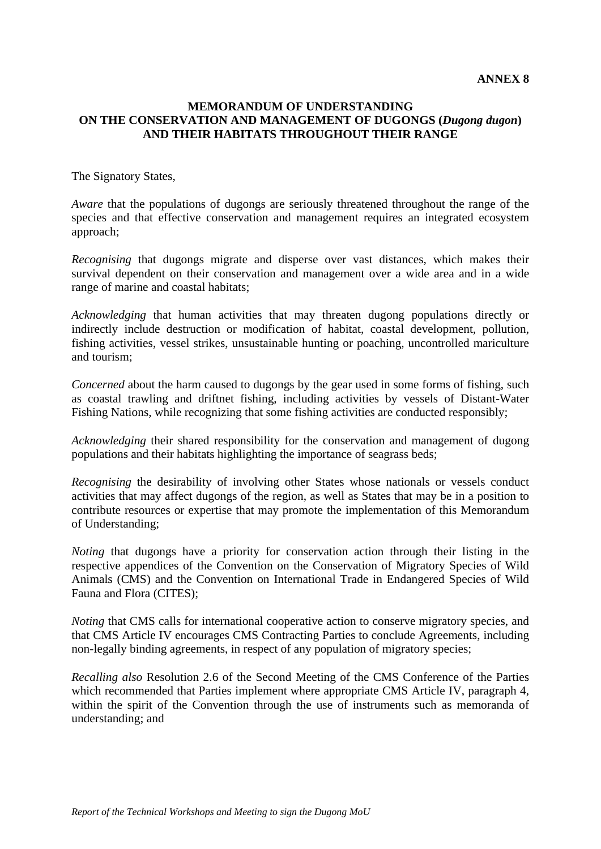## **MEMORANDUM OF UNDERSTANDING ON THE CONSERVATION AND MANAGEMENT OF DUGONGS (***Dugong dugon***) AND THEIR HABITATS THROUGHOUT THEIR RANGE**

The Signatory States,

*Aware* that the populations of dugongs are seriously threatened throughout the range of the species and that effective conservation and management requires an integrated ecosystem approach;

*Recognising* that dugongs migrate and disperse over vast distances, which makes their survival dependent on their conservation and management over a wide area and in a wide range of marine and coastal habitats;

*Acknowledging* that human activities that may threaten dugong populations directly or indirectly include destruction or modification of habitat, coastal development, pollution, fishing activities, vessel strikes, unsustainable hunting or poaching, uncontrolled mariculture and tourism;

*Concerned* about the harm caused to dugongs by the gear used in some forms of fishing, such as coastal trawling and driftnet fishing, including activities by vessels of Distant-Water Fishing Nations, while recognizing that some fishing activities are conducted responsibly;

*Acknowledging* their shared responsibility for the conservation and management of dugong populations and their habitats highlighting the importance of seagrass beds;

*Recognising* the desirability of involving other States whose nationals or vessels conduct activities that may affect dugongs of the region, as well as States that may be in a position to contribute resources or expertise that may promote the implementation of this Memorandum of Understanding;

*Noting* that dugongs have a priority for conservation action through their listing in the respective appendices of the Convention on the Conservation of Migratory Species of Wild Animals (CMS) and the Convention on International Trade in Endangered Species of Wild Fauna and Flora (CITES);

*Noting* that CMS calls for international cooperative action to conserve migratory species, and that CMS Article IV encourages CMS Contracting Parties to conclude Agreements, including non-legally binding agreements, in respect of any population of migratory species;

*Recalling also* Resolution 2.6 of the Second Meeting of the CMS Conference of the Parties which recommended that Parties implement where appropriate CMS Article IV, paragraph 4, within the spirit of the Convention through the use of instruments such as memoranda of understanding; and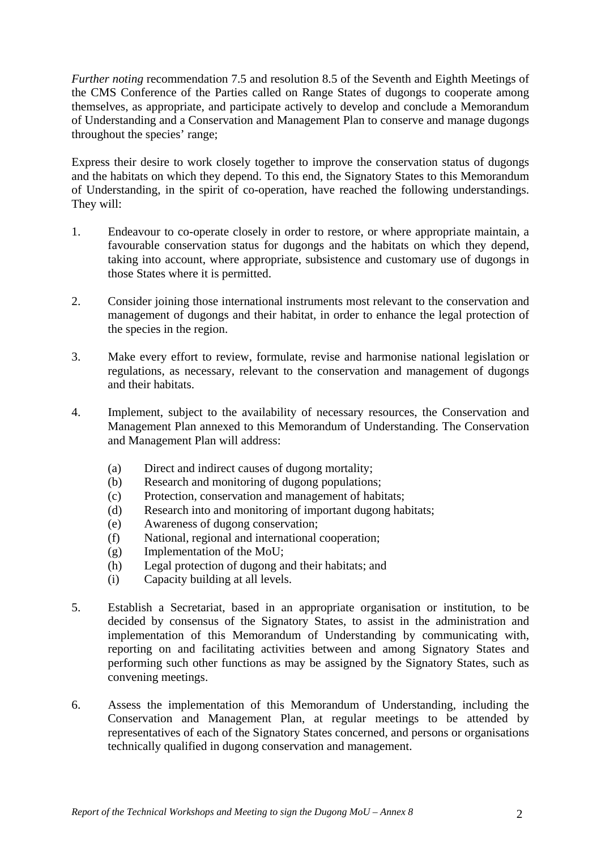*Further noting* recommendation 7.5 and resolution 8.5 of the Seventh and Eighth Meetings of the CMS Conference of the Parties called on Range States of dugongs to cooperate among themselves, as appropriate, and participate actively to develop and conclude a Memorandum of Understanding and a Conservation and Management Plan to conserve and manage dugongs throughout the species' range;

Express their desire to work closely together to improve the conservation status of dugongs and the habitats on which they depend. To this end, the Signatory States to this Memorandum of Understanding, in the spirit of co-operation, have reached the following understandings. They will:

- 1. Endeavour to co-operate closely in order to restore, or where appropriate maintain, a favourable conservation status for dugongs and the habitats on which they depend, taking into account, where appropriate, subsistence and customary use of dugongs in those States where it is permitted.
- 2. Consider joining those international instruments most relevant to the conservation and management of dugongs and their habitat, in order to enhance the legal protection of the species in the region.
- 3. Make every effort to review, formulate, revise and harmonise national legislation or regulations, as necessary, relevant to the conservation and management of dugongs and their habitats.
- 4. Implement, subject to the availability of necessary resources, the Conservation and Management Plan annexed to this Memorandum of Understanding. The Conservation and Management Plan will address:
	- (a) Direct and indirect causes of dugong mortality;
	- (b) Research and monitoring of dugong populations;
	- (c) Protection, conservation and management of habitats;
	- (d) Research into and monitoring of important dugong habitats;
	- (e) Awareness of dugong conservation;
	- (f) National, regional and international cooperation;
	- (g) Implementation of the MoU;
	- (h) Legal protection of dugong and their habitats; and
	- (i) Capacity building at all levels.
- 5. Establish a Secretariat, based in an appropriate organisation or institution, to be decided by consensus of the Signatory States, to assist in the administration and implementation of this Memorandum of Understanding by communicating with, reporting on and facilitating activities between and among Signatory States and performing such other functions as may be assigned by the Signatory States, such as convening meetings.
- 6. Assess the implementation of this Memorandum of Understanding, including the Conservation and Management Plan, at regular meetings to be attended by representatives of each of the Signatory States concerned, and persons or organisations technically qualified in dugong conservation and management.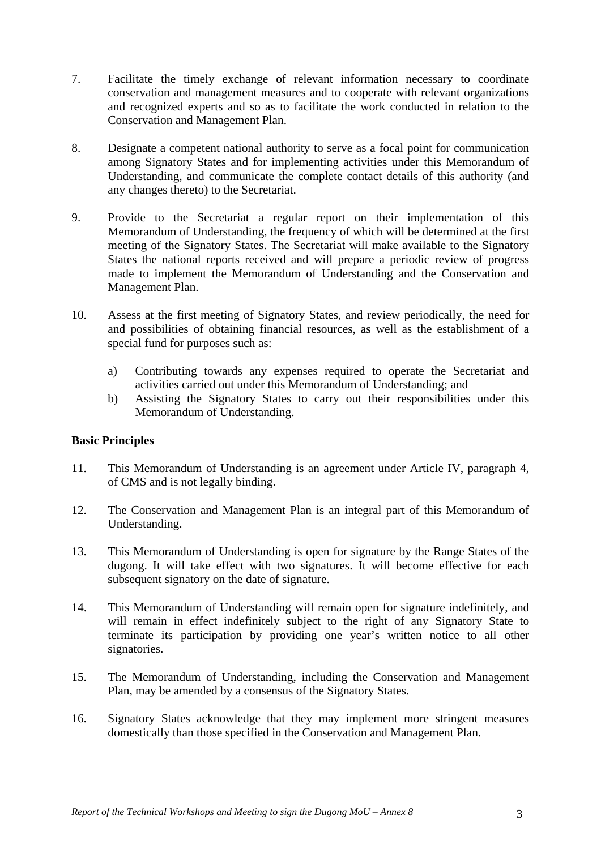- 7. Facilitate the timely exchange of relevant information necessary to coordinate conservation and management measures and to cooperate with relevant organizations and recognized experts and so as to facilitate the work conducted in relation to the Conservation and Management Plan.
- 8. Designate a competent national authority to serve as a focal point for communication among Signatory States and for implementing activities under this Memorandum of Understanding, and communicate the complete contact details of this authority (and any changes thereto) to the Secretariat.
- 9. Provide to the Secretariat a regular report on their implementation of this Memorandum of Understanding, the frequency of which will be determined at the first meeting of the Signatory States. The Secretariat will make available to the Signatory States the national reports received and will prepare a periodic review of progress made to implement the Memorandum of Understanding and the Conservation and Management Plan.
- 10. Assess at the first meeting of Signatory States, and review periodically, the need for and possibilities of obtaining financial resources, as well as the establishment of a special fund for purposes such as:
	- a) Contributing towards any expenses required to operate the Secretariat and activities carried out under this Memorandum of Understanding; and
	- b) Assisting the Signatory States to carry out their responsibilities under this Memorandum of Understanding.

## **Basic Principles**

- 11. This Memorandum of Understanding is an agreement under Article IV, paragraph 4, of CMS and is not legally binding.
- 12. The Conservation and Management Plan is an integral part of this Memorandum of Understanding.
- 13. This Memorandum of Understanding is open for signature by the Range States of the dugong. It will take effect with two signatures. It will become effective for each subsequent signatory on the date of signature.
- 14. This Memorandum of Understanding will remain open for signature indefinitely, and will remain in effect indefinitely subject to the right of any Signatory State to terminate its participation by providing one year's written notice to all other signatories.
- 15. The Memorandum of Understanding, including the Conservation and Management Plan, may be amended by a consensus of the Signatory States.
- 16. Signatory States acknowledge that they may implement more stringent measures domestically than those specified in the Conservation and Management Plan.